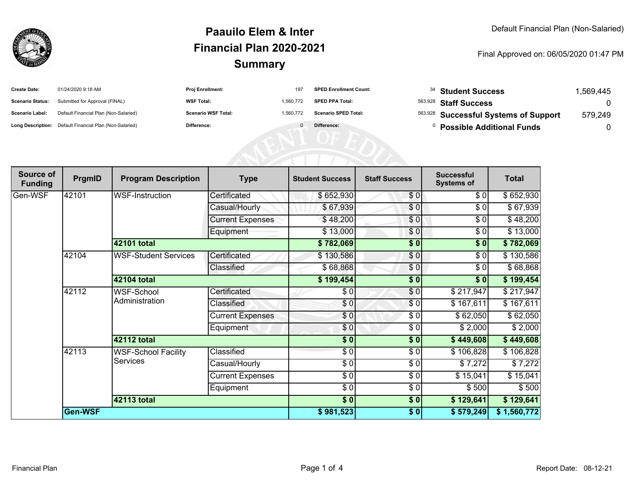

## **SummaryPaauilo Elem & InterFinancial Plan 2020-2021**

#### Final Approved on: 06/05/2020 01:47 PM

| <b>Create Date:</b>     | 01/24/2020 9:18 AM                                      | <b>Proj Enrollment:</b>    | 197       | <b>SPED Enrollment Count:</b> | $34$ Student Success                  | .569.445 |
|-------------------------|---------------------------------------------------------|----------------------------|-----------|-------------------------------|---------------------------------------|----------|
| <b>Scenario Status:</b> | Submitted for Approval (FINAL)                          | <b>WSF Total:</b>          | 1.560.772 | <b>SPED PPA Total:</b>        | <sup>563,928</sup> Staff Success      |          |
| <b>Scenario Label:</b>  | Default Financial Plan (Non-Salaried)                   | <b>Scenario WSF Total:</b> | 1.560.772 | <b>Scenario SPED Total:</b>   | 563,928 Successful Systems of Support | 579,249  |
|                         | Long Description: Default Financial Plan (Non-Salaried) | <b>Difference:</b>         |           | Difference:                   | <b>Possible Additional Funds</b>      |          |

| Source of<br><b>Funding</b> | PrgmID  | <b>Program Description</b>             | <b>Type</b>             | <b>Student Success</b>   | <b>Staff Success</b> | <b>Successful</b><br><b>Systems of</b> | <b>Total</b> |
|-----------------------------|---------|----------------------------------------|-------------------------|--------------------------|----------------------|----------------------------------------|--------------|
| Gen-WSF                     | 42101   | WSF-Instruction                        | Certificated            | \$652,930                | \$0                  | \$0                                    | \$652,930    |
|                             |         |                                        | Casual/Hourly           | \$67,939                 | \$0                  | \$0                                    | \$67,939     |
|                             |         |                                        | <b>Current Expenses</b> | \$48,200                 | \$0                  | \$0                                    | \$48,200     |
|                             |         |                                        | Equipment               | \$13,000                 | \$0                  | \$0                                    | \$13,000     |
|                             |         | 42101 total                            |                         | \$782,069                | $\frac{1}{2}$        | \$0                                    | \$782,069    |
|                             | 42104   | <b>WSF-Student Services</b>            | Certificated            | \$130,586                | \$0                  | \$0                                    | \$130,586    |
|                             |         |                                        | Classified              | \$68,868                 | \$0                  | \$0                                    | \$68,868     |
|                             |         | 42104 total                            |                         | \$199,454                | \$0                  | \$0                                    | \$199,454    |
|                             | 42112   | WSF-School<br>Administration           | Certificated            | \$0                      | \$0                  | \$217,947                              | \$217,947    |
|                             |         |                                        | Classified              | \$0                      | \$0                  | \$167,611                              | \$167,611    |
|                             |         |                                        | <b>Current Expenses</b> | \$0                      | \$0                  | \$62,050                               | \$62,050     |
|                             |         |                                        | Equipment               | \$0                      | \$0                  | \$2,000                                | \$2,000      |
|                             |         | 42112 total                            |                         | $\frac{1}{2}$            | $\sqrt{6}$           | \$449,608                              | \$449,608    |
|                             | 42113   | <b>WSF-School Facility</b><br>Services | Classified              | $\frac{3}{6}$            | $\frac{6}{6}$        | \$106,828                              | \$106,828    |
|                             |         |                                        | Casual/Hourly           | \$0                      | \$0                  | \$7,272                                | \$7,272      |
|                             |         |                                        | <b>Current Expenses</b> | $\overline{\frac{1}{2}}$ | \$0                  | \$15,041                               | \$15,041     |
|                             |         |                                        | Equipment               | \$0                      | \$0                  | \$500                                  | \$500        |
|                             |         | <b>42113 total</b>                     |                         | $\frac{1}{2}$            | $\frac{1}{2}$        | \$129,641                              | \$129,641    |
|                             | Gen-WSF |                                        |                         | \$981,523                | \$0                  | \$579,249                              | \$1,560,772  |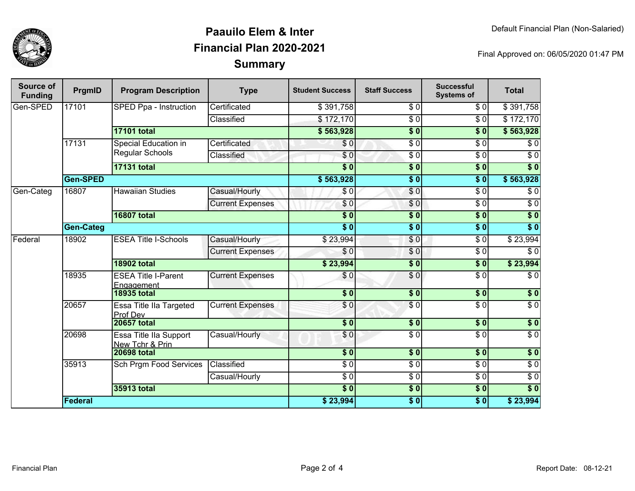

## **SummaryPaauilo Elem & InterFinancial Plan 2020-2021**

Final Approved on: 06/05/2020 01:47 PM

| Source of<br><b>Funding</b> | PrgmID           | <b>Program Description</b>                | <b>Type</b>             | <b>Student Success</b> | <b>Staff Success</b> | <b>Successful</b><br><b>Systems of</b> | <b>Total</b>     |
|-----------------------------|------------------|-------------------------------------------|-------------------------|------------------------|----------------------|----------------------------------------|------------------|
| Gen-SPED                    | 17101            | SPED Ppa - Instruction                    | Certificated            | \$391,758              | \$0                  | \$0                                    | \$391,758        |
|                             |                  |                                           | Classified              | \$172,170              | $\overline{\$0}$     | $\sqrt{6}$                             | \$172,170        |
|                             |                  | <b>17101 total</b>                        |                         | \$563,928              | $\overline{\$0}$     | $\overline{\$0}$                       | \$563,928        |
|                             | 17131            | Special Education in<br>Regular Schools   | Certificated            | \$0                    | $\overline{\$0}$     | $\sqrt{6}$                             | \$0              |
|                             |                  |                                           | Classified              | \$0                    | $\overline{\$0}$     | $\overline{\$0}$                       | $\sqrt{6}$       |
|                             |                  | <b>17131 total</b>                        |                         | $\overline{\$0}$       | $\overline{\$0}$     | $\overline{\$0}$                       | $\overline{\$0}$ |
|                             | <b>Gen-SPED</b>  |                                           |                         | \$563,928              | $\overline{\$0}$     | $\overline{\$0}$                       | \$563,928        |
| Gen-Categ                   | 16807            | <b>Hawaiian Studies</b>                   | Casual/Hourly           | \$0                    | $\overline{\$0}$     | $\overline{\$0}$                       | $\sqrt{6}$       |
|                             |                  |                                           | <b>Current Expenses</b> | \$0                    | \$0                  | $\overline{\$0}$                       | $\sqrt{6}$       |
|                             |                  | <b>16807 total</b>                        |                         | $\overline{\$0}$       | $\overline{\$0}$     | $\overline{\$0}$                       | $\overline{\$0}$ |
|                             | <b>Gen-Categ</b> |                                           |                         | $\overline{\bullet}$ 0 | $\overline{\$0}$     | $\overline{\$0}$                       | $\overline{\$0}$ |
| Federal                     | 18902            | <b>ESEA Title I-Schools</b>               | Casual/Hourly           | \$23,994               | \$0                  | $\overline{\$0}$                       | \$23,994         |
|                             |                  |                                           | <b>Current Expenses</b> | \$0                    | \$0                  | $\overline{\$0}$                       | \$0              |
|                             |                  | <b>18902 total</b>                        |                         | \$23,994               | $\overline{\$0}$     | $\overline{\$0}$                       | \$23,994         |
|                             | 18935            | <b>ESEA Title I-Parent</b><br>Engagement  | <b>Current Expenses</b> | \$0                    | \$0                  | $\overline{\$0}$                       | $\sqrt{6}$       |
|                             |                  | <b>18935 total</b>                        |                         | $\overline{\$0}$       | $\frac{1}{2}$        | $\overline{\$0}$                       | $\sqrt{ }$       |
|                             | 20657            | Essa Title IIa Targeted<br>Prof Dev       | <b>Current Expenses</b> | \$0                    | $\overline{\$0}$     | $\overline{\$0}$                       | $\overline{\$0}$ |
|                             |                  | <b>20657 total</b>                        |                         | $\overline{\$0}$       | $\overline{\$0}$     | \$0                                    | \$0              |
|                             | 20698            | Essa Title IIa Support<br>New Tchr & Prin | Casual/Hourly           | \$0                    | $\overline{\$0}$     | $\sqrt{6}$                             | $\sqrt{6}$       |
|                             |                  | <b>20698 total</b>                        |                         | $\overline{\$0}$       | \$0                  | \$0                                    | $\overline{\$0}$ |
|                             | 35913            | <b>Sch Prgm Food Services</b>             | Classified              | $\overline{\$0}$       | $\overline{60}$      | $\sqrt{6}$                             | $\sqrt{6}$       |
|                             |                  |                                           | Casual/Hourly           | $\overline{\$0}$       | $\overline{30}$      | $\sqrt{6}$                             | $\overline{60}$  |
|                             |                  | 35913 total                               |                         | $\overline{\$0}$       | $\overline{\$0}$     | $\overline{\$0}$                       | $\overline{\$0}$ |
|                             | <b>Federal</b>   |                                           |                         | \$23,994               | $\overline{\$0}$     | $\overline{\$0}$                       | \$23,994         |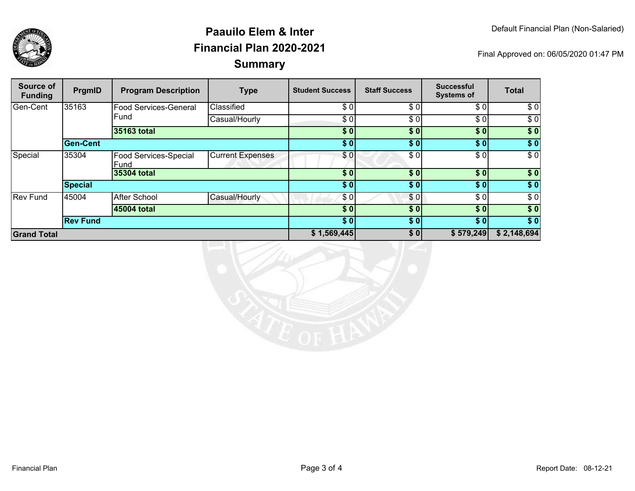

## **SummaryPaauilo Elem & InterFinancial Plan 2020-2021**

Final Approved on: 06/05/2020 01:47 PM

| Source of<br><b>Funding</b> | PrgmID          | <b>Program Description</b>    | <b>Type</b>             | <b>Student Success</b> | <b>Staff Success</b> | <b>Successful</b><br><b>Systems of</b> | <b>Total</b>     |
|-----------------------------|-----------------|-------------------------------|-------------------------|------------------------|----------------------|----------------------------------------|------------------|
| Gen-Cent                    | 35163           | <b>Food Services-General</b>  | Classified              | \$0                    | \$0                  | \$0]                                   | \$0              |
|                             |                 | Fund                          | Casual/Hourly           | \$ OI                  | \$0                  | \$0                                    | \$0              |
|                             |                 | 35163 total                   |                         | \$0                    | \$0                  | $\overline{\$0}$                       | $\sqrt{6}$       |
|                             | <b>Gen-Cent</b> |                               |                         | \$0                    | \$0]                 | \$0]                                   | \$0              |
| Special                     | 35304           | Food Services-Special<br>Fund | <b>Current Expenses</b> | \$01                   | \$0                  | \$0                                    | \$0              |
|                             |                 | 35304 total                   |                         | \$0                    | \$0                  | \$0]                                   | \$0              |
|                             | <b>Special</b>  |                               |                         | \$0                    | \$0                  | \$0]                                   | \$0              |
| <b>Rev Fund</b>             | 45004           | <b>After School</b>           | Casual/Hourly           | \$0                    | \$0                  | \$0                                    | $\overline{\$0}$ |
|                             |                 | 45004 total                   |                         | \$0                    | \$0                  | \$0                                    | \$0              |
|                             | <b>Rev Fund</b> |                               |                         | \$0                    | \$0                  | \$0]                                   | \$0              |
| <b>Grand Total</b>          |                 |                               | \$1,569,445             | \$0                    | \$579,249            | \$2,148,694                            |                  |